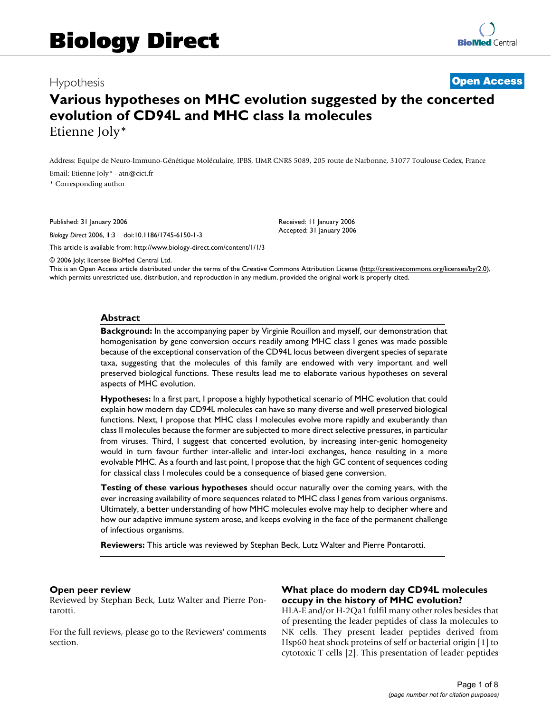## Hypothesis **[Open Access](http://www.biomedcentral.com/info/about/charter/)**

# **Various hypotheses on MHC evolution suggested by the concerted evolution of CD94L and MHC class Ia molecules** Etienne Joly\*

Address: Equipe de Neuro-Immuno-Génétique Moléculaire, IPBS, UMR CNRS 5089, 205 route de Narbonne, 31077 Toulouse Cedex, France

Email: Etienne Joly\* - atn@cict.fr

\* Corresponding author

Published: 31 January 2006

*Biology Direct* 2006, **1**:3 doi:10.1186/1745-6150-1-3

[This article is available from: http://www.biology-direct.com/content/1/1/3](http://www.biology-direct.com/content/1/1/3)

© 2006 Joly; licensee BioMed Central Ltd.

This is an Open Access article distributed under the terms of the Creative Commons Attribution License [\(http://creativecommons.org/licenses/by/2.0\)](http://creativecommons.org/licenses/by/2.0), which permits unrestricted use, distribution, and reproduction in any medium, provided the original work is properly cited.

Received: 11 January 2006 Accepted: 31 January 2006

#### **Abstract**

**Background:** In the accompanying paper by Virginie Rouillon and myself, our demonstration that homogenisation by gene conversion occurs readily among MHC class I genes was made possible because of the exceptional conservation of the CD94L locus between divergent species of separate taxa, suggesting that the molecules of this family are endowed with very important and well preserved biological functions. These results lead me to elaborate various hypotheses on several aspects of MHC evolution.

**Hypotheses:** In a first part, I propose a highly hypothetical scenario of MHC evolution that could explain how modern day CD94L molecules can have so many diverse and well preserved biological functions. Next, I propose that MHC class I molecules evolve more rapidly and exuberantly than class II molecules because the former are subjected to more direct selective pressures, in particular from viruses. Third, I suggest that concerted evolution, by increasing inter-genic homogeneity would in turn favour further inter-allelic and inter-loci exchanges, hence resulting in a more evolvable MHC. As a fourth and last point, I propose that the high GC content of sequences coding for classical class I molecules could be a consequence of biased gene conversion.

**Testing of these various hypotheses** should occur naturally over the coming years, with the ever increasing availability of more sequences related to MHC class I genes from various organisms. Ultimately, a better understanding of how MHC molecules evolve may help to decipher where and how our adaptive immune system arose, and keeps evolving in the face of the permanent challenge of infectious organisms.

**Reviewers:** This article was reviewed by Stephan Beck, Lutz Walter and Pierre Pontarotti.

#### **Open peer review**

Reviewed by Stephan Beck, Lutz Walter and Pierre Pontarotti.

For the full reviews, please go to the Reviewers' comments section.

### **What place do modern day CD94L molecules occupy in the history of MHC evolution?**

HLA-E and/or H-2Qa1 fulfil many other roles besides that of presenting the leader peptides of class Ia molecules to NK cells. They present leader peptides derived from Hsp60 heat shock proteins of self or bacterial origin [1] to cytotoxic T cells [2]. This presentation of leader peptides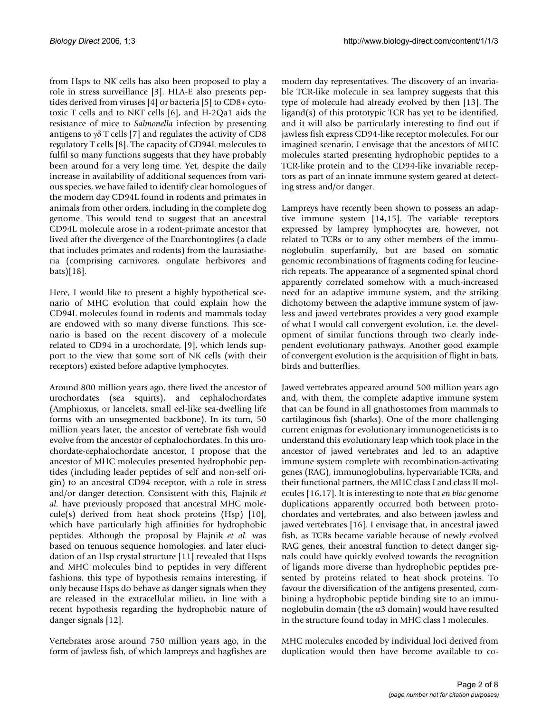from Hsps to NK cells has also been proposed to play a role in stress surveillance [3]. HLA-E also presents peptides derived from viruses [4] or bacteria [5] to CD8+ cytotoxic T cells and to NKT cells [6], and H-2Qa1 aids the resistance of mice to *Salmonella* infection by presenting antigens to  $\gamma\delta$  T cells [7] and regulates the activity of CD8 regulatory T cells [8]. The capacity of CD94L molecules to fulfil so many functions suggests that they have probably been around for a very long time. Yet, despite the daily increase in availability of additional sequences from various species, we have failed to identify clear homologues of the modern day CD94L found in rodents and primates in animals from other orders, including in the complete dog genome. This would tend to suggest that an ancestral CD94L molecule arose in a rodent-primate ancestor that lived after the divergence of the Euarchontoglires (a clade that includes primates and rodents) from the laurasiatheria (comprising carnivores, ongulate herbivores and bats)[18].

Here, I would like to present a highly hypothetical scenario of MHC evolution that could explain how the CD94L molecules found in rodents and mammals today are endowed with so many diverse functions. This scenario is based on the recent discovery of a molecule related to CD94 in a urochordate, [9], which lends support to the view that some sort of NK cells (with their receptors) existed before adaptive lymphocytes.

Around 800 million years ago, there lived the ancestor of urochordates (sea squirts), and cephalochordates (Amphioxus, or lancelets, small eel-like sea-dwelling life forms with an unsegmented backbone). In its turn, 50 million years later, the ancestor of vertebrate fish would evolve from the ancestor of cephalochordates. In this urochordate-cephalochordate ancestor, I propose that the ancestor of MHC molecules presented hydrophobic peptides (including leader peptides of self and non-self origin) to an ancestral CD94 receptor, with a role in stress and/or danger detection. Consistent with this, Flajnik *et al.* have previously proposed that ancestral MHC molecule(s) derived from heat shock proteins (Hsp) [10], which have particularly high affinities for hydrophobic peptides. Although the proposal by Flajnik *et al.* was based on tenuous sequence homologies, and later elucidation of an Hsp crystal structure [11] revealed that Hsps and MHC molecules bind to peptides in very different fashions, this type of hypothesis remains interesting, if only because Hsps do behave as danger signals when they are released in the extracellular milieu, in line with a recent hypothesis regarding the hydrophobic nature of danger signals [12].

Vertebrates arose around 750 million years ago, in the form of jawless fish, of which lampreys and hagfishes are modern day representatives. The discovery of an invariable TCR-like molecule in sea lamprey suggests that this type of molecule had already evolved by then [13]. The ligand(s) of this prototypic TCR has yet to be identified, and it will also be particularly interesting to find out if jawless fish express CD94-like receptor molecules. For our imagined scenario, I envisage that the ancestors of MHC molecules started presenting hydrophobic peptides to a TCR-like protein and to the CD94-like invariable receptors as part of an innate immune system geared at detecting stress and/or danger.

Lampreys have recently been shown to possess an adaptive immune system [14,15]. The variable receptors expressed by lamprey lymphocytes are, however, not related to TCRs or to any other members of the immunoglobulin superfamily, but are based on somatic genomic recombinations of fragments coding for leucinerich repeats. The appearance of a segmented spinal chord apparently correlated somehow with a much-increased need for an adaptive immune system, and the striking dichotomy between the adaptive immune system of jawless and jawed vertebrates provides a very good example of what I would call convergent evolution, i.e. the development of similar functions through two clearly independent evolutionary pathways. Another good example of convergent evolution is the acquisition of flight in bats, birds and butterflies.

Jawed vertebrates appeared around 500 million years ago and, with them, the complete adaptive immune system that can be found in all gnathostomes from mammals to cartilaginous fish (sharks). One of the more challenging current enigmas for evolutionary immunogeneticists is to understand this evolutionary leap which took place in the ancestor of jawed vertebrates and led to an adaptive immune system complete with recombination-activating genes (RAG), immunoglobulins, hypervariable TCRs, and their functional partners, the MHC class I and class II molecules [16,17]. It is interesting to note that *en bloc* genome duplications apparently occurred both between protochordates and vertebrates, and also between jawless and jawed vertebrates [16]. I envisage that, in ancestral jawed fish, as TCRs became variable because of newly evolved RAG genes, their ancestral function to detect danger signals could have quickly evolved towards the recognition of ligands more diverse than hydrophobic peptides presented by proteins related to heat shock proteins. To favour the diversification of the antigens presented, combining a hydrophobic peptide binding site to an immunoglobulin domain (the α3 domain) would have resulted in the structure found today in MHC class I molecules.

MHC molecules encoded by individual loci derived from duplication would then have become available to co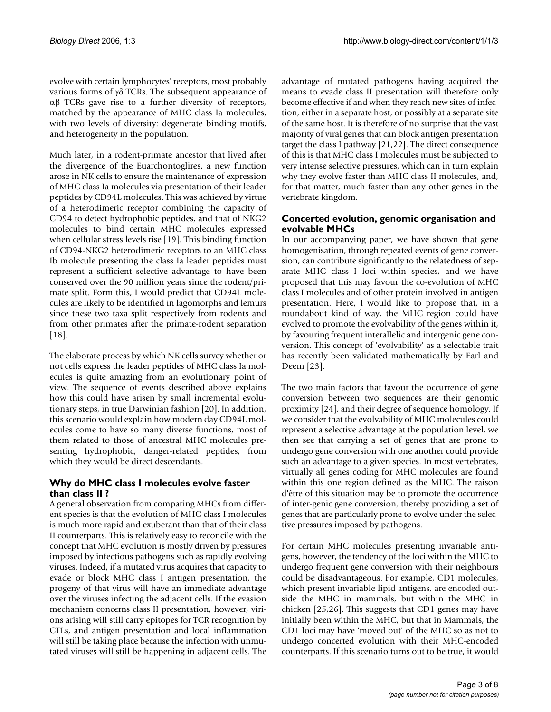evolve with certain lymphocytes' receptors, most probably various forms of γδ TCRs. The subsequent appearance of αβ TCRs gave rise to a further diversity of receptors, matched by the appearance of MHC class Ia molecules, with two levels of diversity: degenerate binding motifs, and heterogeneity in the population.

Much later, in a rodent-primate ancestor that lived after the divergence of the Euarchontoglires, a new function arose in NK cells to ensure the maintenance of expression of MHC class Ia molecules via presentation of their leader peptides by CD94L molecules. This was achieved by virtue of a heterodimeric receptor combining the capacity of CD94 to detect hydrophobic peptides, and that of NKG2 molecules to bind certain MHC molecules expressed when cellular stress levels rise [19]. This binding function of CD94-NKG2 heterodimeric receptors to an MHC class Ib molecule presenting the class Ia leader peptides must represent a sufficient selective advantage to have been conserved over the 90 million years since the rodent/primate split. Form this, I would predict that CD94L molecules are likely to be identified in lagomorphs and lemurs since these two taxa split respectively from rodents and from other primates after the primate-rodent separation [18].

The elaborate process by which NK cells survey whether or not cells express the leader peptides of MHC class Ia molecules is quite amazing from an evolutionary point of view. The sequence of events described above explains how this could have arisen by small incremental evolutionary steps, in true Darwinian fashion [20]. In addition, this scenario would explain how modern day CD94L molecules come to have so many diverse functions, most of them related to those of ancestral MHC molecules presenting hydrophobic, danger-related peptides, from which they would be direct descendants.

## **Why do MHC class I molecules evolve faster than class II ?**

A general observation from comparing MHCs from different species is that the evolution of MHC class I molecules is much more rapid and exuberant than that of their class II counterparts. This is relatively easy to reconcile with the concept that MHC evolution is mostly driven by pressures imposed by infectious pathogens such as rapidly evolving viruses. Indeed, if a mutated virus acquires that capacity to evade or block MHC class I antigen presentation, the progeny of that virus will have an immediate advantage over the viruses infecting the adjacent cells. If the evasion mechanism concerns class II presentation, however, virions arising will still carry epitopes for TCR recognition by CTLs, and antigen presentation and local inflammation will still be taking place because the infection with unmutated viruses will still be happening in adjacent cells. The advantage of mutated pathogens having acquired the means to evade class II presentation will therefore only become effective if and when they reach new sites of infection, either in a separate host, or possibly at a separate site of the same host. It is therefore of no surprise that the vast majority of viral genes that can block antigen presentation target the class I pathway [21,22]. The direct consequence of this is that MHC class I molecules must be subjected to very intense selective pressures, which can in turn explain why they evolve faster than MHC class II molecules, and, for that matter, much faster than any other genes in the vertebrate kingdom.

## **Concerted evolution, genomic organisation and evolvable MHCs**

In our accompanying paper, we have shown that gene homogenisation, through repeated events of gene conversion, can contribute significantly to the relatedness of separate MHC class I loci within species, and we have proposed that this may favour the co-evolution of MHC class I molecules and of other protein involved in antigen presentation. Here, I would like to propose that, in a roundabout kind of way, the MHC region could have evolved to promote the evolvability of the genes within it, by favouring frequent interallelic and intergenic gene conversion. This concept of 'evolvability' as a selectable trait has recently been validated mathematically by Earl and Deem [23].

The two main factors that favour the occurrence of gene conversion between two sequences are their genomic proximity [24], and their degree of sequence homology. If we consider that the evolvability of MHC molecules could represent a selective advantage at the population level, we then see that carrying a set of genes that are prone to undergo gene conversion with one another could provide such an advantage to a given species. In most vertebrates, virtually all genes coding for MHC molecules are found within this one region defined as the MHC. The raison d'être of this situation may be to promote the occurrence of inter-genic gene conversion, thereby providing a set of genes that are particularly prone to evolve under the selective pressures imposed by pathogens.

For certain MHC molecules presenting invariable antigens, however, the tendency of the loci within the MHC to undergo frequent gene conversion with their neighbours could be disadvantageous. For example, CD1 molecules, which present invariable lipid antigens, are encoded outside the MHC in mammals, but within the MHC in chicken [25,26]. This suggests that CD1 genes may have initially been within the MHC, but that in Mammals, the CD1 loci may have 'moved out' of the MHC so as not to undergo concerted evolution with their MHC-encoded counterparts. If this scenario turns out to be true, it would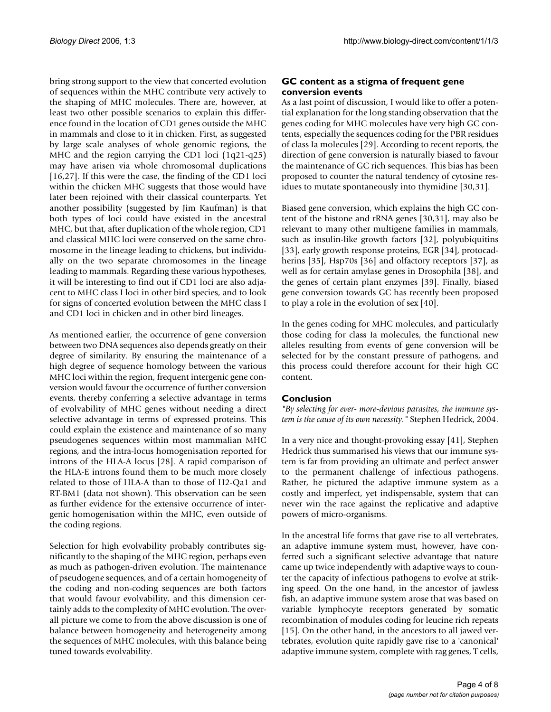bring strong support to the view that concerted evolution of sequences within the MHC contribute very actively to the shaping of MHC molecules. There are, however, at least two other possible scenarios to explain this difference found in the location of CD1 genes outside the MHC in mammals and close to it in chicken. First, as suggested by large scale analyses of whole genomic regions, the MHC and the region carrying the CD1 loci (1q21-q25) may have arisen via whole chromosomal duplications [16,27]. If this were the case, the finding of the CD1 loci within the chicken MHC suggests that those would have later been rejoined with their classical counterparts. Yet another possibility (suggested by Jim Kaufman) is that both types of loci could have existed in the ancestral MHC, but that, after duplication of the whole region, CD1 and classical MHC loci were conserved on the same chromosome in the lineage leading to chickens, but individually on the two separate chromosomes in the lineage leading to mammals. Regarding these various hypotheses, it will be interesting to find out if CD1 loci are also adjacent to MHC class I loci in other bird species, and to look for signs of concerted evolution between the MHC class I and CD1 loci in chicken and in other bird lineages.

As mentioned earlier, the occurrence of gene conversion between two DNA sequences also depends greatly on their degree of similarity. By ensuring the maintenance of a high degree of sequence homology between the various MHC loci within the region, frequent intergenic gene conversion would favour the occurrence of further conversion events, thereby conferring a selective advantage in terms of evolvability of MHC genes without needing a direct selective advantage in terms of expressed proteins. This could explain the existence and maintenance of so many pseudogenes sequences within most mammalian MHC regions, and the intra-locus homogenisation reported for introns of the HLA-A locus [28]. A rapid comparison of the HLA-E introns found them to be much more closely related to those of HLA-A than to those of H2-Qa1 and RT-BM1 (data not shown). This observation can be seen as further evidence for the extensive occurrence of intergenic homogenisation within the MHC, even outside of the coding regions.

Selection for high evolvability probably contributes significantly to the shaping of the MHC region, perhaps even as much as pathogen-driven evolution. The maintenance of pseudogene sequences, and of a certain homogeneity of the coding and non-coding sequences are both factors that would favour evolvability, and this dimension certainly adds to the complexity of MHC evolution. The overall picture we come to from the above discussion is one of balance between homogeneity and heterogeneity among the sequences of MHC molecules, with this balance being tuned towards evolvability.

## **GC content as a stigma of frequent gene conversion events**

As a last point of discussion, I would like to offer a potential explanation for the long standing observation that the genes coding for MHC molecules have very high GC contents, especially the sequences coding for the PBR residues of class Ia molecules [29]. According to recent reports, the direction of gene conversion is naturally biased to favour the maintenance of GC rich sequences. This bias has been proposed to counter the natural tendency of cytosine residues to mutate spontaneously into thymidine [30,31].

Biased gene conversion, which explains the high GC content of the histone and rRNA genes [30,31], may also be relevant to many other multigene families in mammals, such as insulin-like growth factors [32], polyubiquitins [33], early growth response proteins, EGR [34], protocadherins [35], Hsp70s [36] and olfactory receptors [37], as well as for certain amylase genes in Drosophila [38], and the genes of certain plant enzymes [39]. Finally, biased gene conversion towards GC has recently been proposed to play a role in the evolution of sex [40].

In the genes coding for MHC molecules, and particularly those coding for class Ia molecules, the functional new alleles resulting from events of gene conversion will be selected for by the constant pressure of pathogens, and this process could therefore account for their high GC content.

## **Conclusion**

*"By selecting for ever- more-devious parasites, the immune system is the cause of its own necessity."* Stephen Hedrick, 2004.

In a very nice and thought-provoking essay [41], Stephen Hedrick thus summarised his views that our immune system is far from providing an ultimate and perfect answer to the permanent challenge of infectious pathogens. Rather, he pictured the adaptive immune system as a costly and imperfect, yet indispensable, system that can never win the race against the replicative and adaptive powers of micro-organisms.

In the ancestral life forms that gave rise to all vertebrates, an adaptive immune system must, however, have conferred such a significant selective advantage that nature came up twice independently with adaptive ways to counter the capacity of infectious pathogens to evolve at striking speed. On the one hand, in the ancestor of jawless fish, an adaptive immune system arose that was based on variable lymphocyte receptors generated by somatic recombination of modules coding for leucine rich repeats [15]. On the other hand, in the ancestors to all jawed vertebrates, evolution quite rapidly gave rise to a 'canonical' adaptive immune system, complete with rag genes, T cells,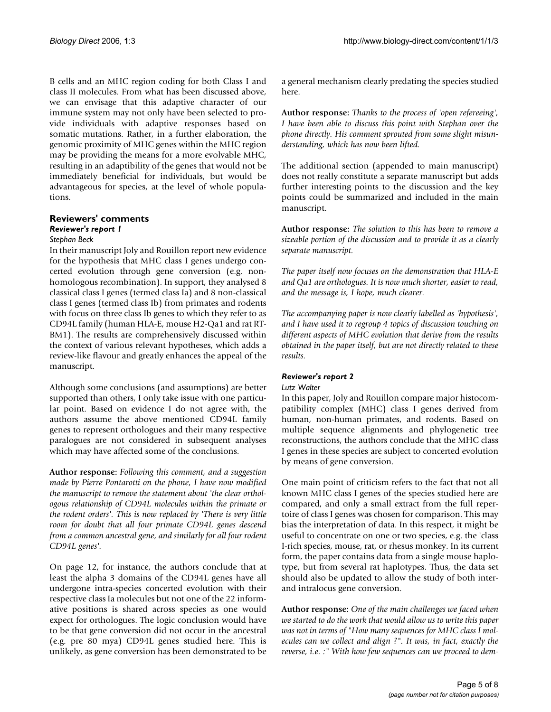B cells and an MHC region coding for both Class I and class II molecules. From what has been discussed above, we can envisage that this adaptive character of our immune system may not only have been selected to provide individuals with adaptive responses based on somatic mutations. Rather, in a further elaboration, the genomic proximity of MHC genes within the MHC region may be providing the means for a more evolvable MHC, resulting in an adaptibility of the genes that would not be immediately beneficial for individuals, but would be advantageous for species, at the level of whole populations.

## **Reviewers' comments** *Reviewer's report 1*

#### *Stephan Beck*

In their manuscript Joly and Rouillon report new evidence for the hypothesis that MHC class I genes undergo concerted evolution through gene conversion (e.g. nonhomologous recombination). In support, they analysed 8 classical class I genes (termed class Ia) and 8 non-classical class I genes (termed class Ib) from primates and rodents with focus on three class Ib genes to which they refer to as CD94L family (human HLA-E, mouse H2-Qa1 and rat RT-BM1). The results are comprehensively discussed within the context of various relevant hypotheses, which adds a review-like flavour and greatly enhances the appeal of the manuscript.

Although some conclusions (and assumptions) are better supported than others, I only take issue with one particular point. Based on evidence I do not agree with, the authors assume the above mentioned CD94L family genes to represent orthologues and their many respective paralogues are not considered in subsequent analyses which may have affected some of the conclusions.

**Author response:** *Following this comment, and a suggestion made by Pierre Pontarotti on the phone, I have now modified the manuscript to remove the statement about 'the clear orthologous relationship of CD94L molecules within the primate or the rodent orders'. This is now replaced by 'There is very little room for doubt that all four primate CD94L genes descend from a common ancestral gene, and similarly for all four rodent CD94L genes'.*

On page 12, for instance, the authors conclude that at least the alpha 3 domains of the CD94L genes have all undergone intra-species concerted evolution with their respective class Ia molecules but not one of the 22 informative positions is shared across species as one would expect for orthologues. The logic conclusion would have to be that gene conversion did not occur in the ancestral (e.g. pre 80 mya) CD94L genes studied here. This is unlikely, as gene conversion has been demonstrated to be a general mechanism clearly predating the species studied here.

**Author response:** *Thanks to the process of 'open refereeing', I have been able to discuss this point with Stephan over the phone directly. His comment sprouted from some slight misunderstanding, which has now been lifted.*

The additional section (appended to main manuscript) does not really constitute a separate manuscript but adds further interesting points to the discussion and the key points could be summarized and included in the main manuscript.

**Author response:** *The solution to this has been to remove a sizeable portion of the discussion and to provide it as a clearly separate manuscript.*

*The paper itself now focuses on the demonstration that HLA-E and Qa1 are orthologues. It is now much shorter, easier to read, and the message is, I hope, much clearer.*

*The accompanying paper is now clearly labelled as 'hypothesis', and I have used it to regroup 4 topics of discussion touching on different aspects of MHC evolution that derive from the results obtained in the paper itself, but are not directly related to these results.*

## *Reviewer's report 2*

#### *Lutz Walter*

In this paper, Joly and Rouillon compare major histocompatibility complex (MHC) class I genes derived from human, non-human primates, and rodents. Based on multiple sequence alignments and phylogenetic tree reconstructions, the authors conclude that the MHC class I genes in these species are subject to concerted evolution by means of gene conversion.

One main point of criticism refers to the fact that not all known MHC class I genes of the species studied here are compared, and only a small extract from the full repertoire of class I genes was chosen for comparison. This may bias the interpretation of data. In this respect, it might be useful to concentrate on one or two species, e.g. the 'class I-rich species, mouse, rat, or rhesus monkey. In its current form, the paper contains data from a single mouse haplotype, but from several rat haplotypes. Thus, the data set should also be updated to allow the study of both interand intralocus gene conversion.

**Author response:** *One of the main challenges we faced when we started to do the work that would allow us to write this paper was not in terms of "How many sequences for MHC class I molecules can we collect and align ?". It was, in fact, exactly the reverse, i.e. :" With how few sequences can we proceed to dem-*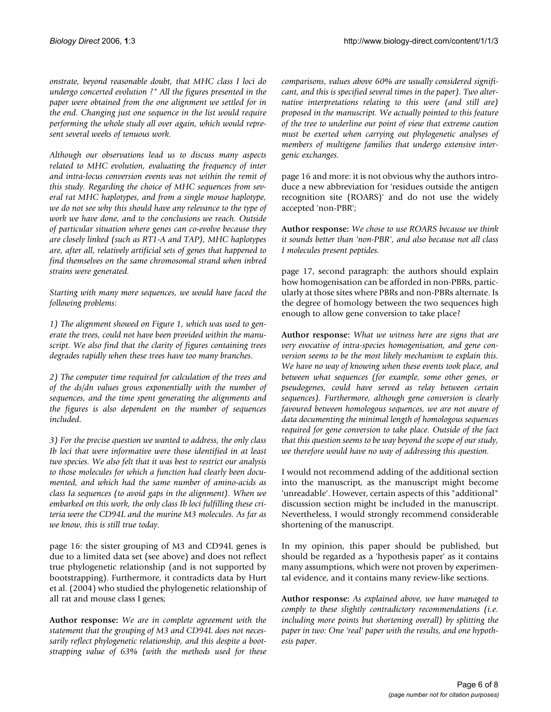*onstrate, beyond reasonable doubt, that MHC class I loci do undergo concerted evolution ?" All the figures presented in the paper were obtained from the one alignment we settled for in the end. Changing just one sequence in the list would require performing the whole study all over again, which would represent several weeks of tenuous work.*

*Although our observations lead us to discuss many aspects related to MHC evolution, evaluating the frequency of inter and intra-locus conversion events was not within the remit of this study. Regarding the choice of MHC sequences from several rat MHC haplotypes, and from a single mouse haplotype, we do not see why this should have any relevance to the type of work we have done, and to the conclusions we reach. Outside of particular situation where genes can co-evolve because they are closely linked (such as RT1-A and TAP), MHC haplotypes are, after all, relatively artificial sets of genes that happened to find themselves on the same chromosomal strand when inbred strains were generated.*

*Starting with many more sequences, we would have faced the following problems:*

*1) The alignment showed on Figure 1, which was used to generate the trees, could not have been provided within the manuscript. We also find that the clarity of figures containing trees degrades rapidly when these trees have too many branches.*

*2) The computer time required for calculation of the trees and of the ds/dn values grows exponentially with the number of sequences, and the time spent generating the alignments and the figures is also dependent on the number of sequences included.*

*3) For the precise question we wanted to address, the only class Ib loci that were informative were those identified in at least two species. We also felt that it was best to restrict our analysis to those molecules for which a function had clearly been documented, and which had the same number of amino-acids as class Ia sequences (to avoid gaps in the alignment). When we embarked on this work, the only class Ib loci fulfilling these criteria were the CD94L and the murine M3 molecules. As far as we know, this is still true today.*

page 16: the sister grouping of M3 and CD94L genes is due to a limited data set (see above) and does not reflect true phylogenetic relationship (and is not supported by bootstrapping). Furthermore, it contradicts data by Hurt et al. (2004) who studied the phylogenetic relationship of all rat and mouse class I genes;

**Author response:** *We are in complete agreement with the statement that the grouping of M3 and CD94L does not necessarily reflect phylogenetic relationship, and this despite a bootstrapping value of 63% (with the methods used for these* *comparisons, values above 60% are usually considered significant, and this is specified several times in the paper). Two alternative interpretations relating to this were (and still are) proposed in the manuscript. We actually pointed to this feature of the tree to underline our point of view that extreme caution must be exerted when carrying out phylogenetic analyses of members of multigene families that undergo extensive intergenic exchanges.*

page 16 and more: it is not obvious why the authors introduce a new abbreviation for 'residues outside the antigen recognition site (ROARS)' and do not use the widely accepted 'non-PBR';

**Author response:** *We chose to use ROARS because we think it sounds better than 'non-PBR', and also because not all class I molecules present peptides.*

page 17, second paragraph: the authors should explain how homogenisation can be afforded in non-PBRs, particularly at those sites where PBRs and non-PBRs alternate. Is the degree of homology between the two sequences high enough to allow gene conversion to take place?

**Author response:** *What we witness here are signs that are very evocative of intra-species homogenisation, and gene conversion seems to be the most likely mechanism to explain this. We have no way of knowing when these events took place, and between what sequences (for example, some other genes, or pseudogenes, could have served as relay between certain sequences). Furthermore, although gene conversion is clearly favoured between homologous sequences, we are not aware of data documenting the minimal length of homologous sequences required for gene conversion to take place. Outside of the fact that this question seems to be way beyond the scope of our study, we therefore would have no way of addressing this question.*

I would not recommend adding of the additional section into the manuscript, as the manuscript might become 'unreadable'. However, certain aspects of this "additional" discussion section might be included in the manuscript. Nevertheless, I would strongly recommend considerable shortening of the manuscript.

In my opinion, this paper should be published, but should be regarded as a 'hypothesis paper' as it contains many assumptions, which were not proven by experimental evidence, and it contains many review-like sections.

**Author response:** *As explained above, we have managed to comply to these slightly contradictory recommendations (i.e. including more points but shortening overall) by splitting the paper in two: One 'real' paper with the results, and one hypothesis paper.*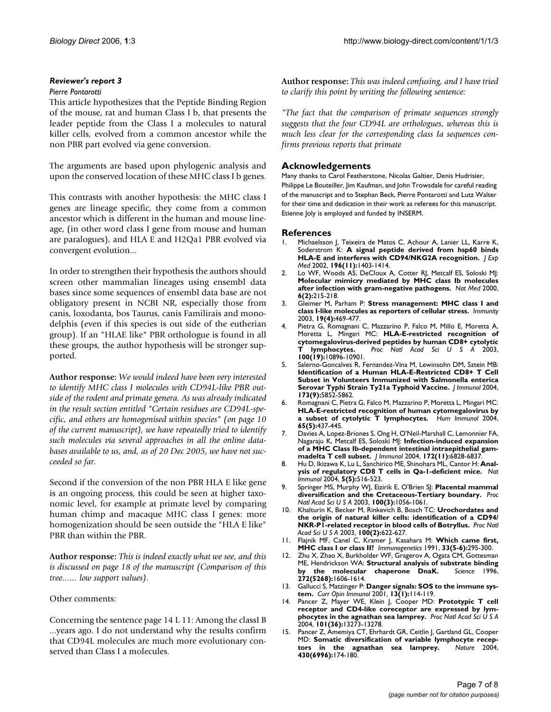### *Reviewer's report 3*

#### *Pierre Pontarotti*

This article hypothesizes that the Peptide Binding Region of the mouse, rat and human Class I b, that presents the leader peptide from the Class I a molecules to natural killer cells, evolved from a common ancestor while the non PBR part evolved via gene conversion.

The arguments are based upon phylogenic analysis and upon the conserved location of these MHC class I b genes.

This contrasts with another hypothesis: the MHC class I genes are lineage specific, they come from a common ancestor which is different in the human and mouse lineage, (in other word class I gene from mouse and human are paralogues), and HLA E and H2Qa1 PBR evolved via convergent evolution...

In order to strengthen their hypothesis the authors should screen other mammalian lineages using ensembl data bases since some sequences of ensembl data base are not obligatory present in NCBI NR, especially those from canis, loxodanta, bos Taurus, canis Familirais and monodelphis (even if this species is out side of the eutherian group). If an "HLAE like" PBR orthologue is found in all these groups, the author hypothesis will be stronger supported.

**Author response:** *We would indeed have been very interested to identify MHC class I molecules with CD94L-like PBR outside of the rodent and primate genera. As was already indicated in the result section entitled "Certain residues are CD94L-specific, and others are homogenised within species" (on page 10 of the current manuscript), we have repeatedly tried to identify such molecules via several approaches in all the online databases available to us, and, as of 20 Dec 2005, we have not succeeded so far.*

Second if the conversion of the non PBR HLA E like gene is an ongoing process, this could be seen at higher taxonomic level, for example at primate level by comparing human chimp and macaque MHC class I genes: more homogenization should be seen outside the "HLA E like" PBR than within the PBR.

**Author response:** *This is indeed exactly what we see, and this is discussed on page 18 of the manuscript (Comparison of this tree...... low support values).*

Other comments:

Concerning the sentence page 14 L 11: Among the classI B ...years ago. I do not understand why the results confirm that CD94L molecules are much more evolutionary conserved than Class I a molecules.

**Author response:** *This was indeed confusing, and I have tried to clarify this point by writing the following sentence:*

*"The fact that the comparison of primate sequences strongly suggests that the four CD94L are orthologues, whereas this is much less clear for the corresponding class Ia sequences confirms previous reports that primate*

## **Acknowledgements**

Many thanks to Carol Featherstone, Nicolas Galtier, Denis Hudrisier, Philippe Le Bouteiller, Jim Kaufman, and John Trowsdale for careful reading of the manuscript and to Stephan Beck, Pierre Pontarotti and Lutz Walter for their time and dedication in their work as referees for this manuscript. Etienne Joly is employed and funded by INSERM.

### **References**

- 1. Michaelsson J, Teixeira de Matos C, Achour A, Lanier LL, Karre K, Soderstrom K: **[A signal peptide derived from hsp60 binds](http://www.ncbi.nlm.nih.gov/entrez/query.fcgi?cmd=Retrieve&db=PubMed&dopt=Abstract&list_uids=12461076) [HLA-E and interferes with CD94/NKG2A recognition.](http://www.ncbi.nlm.nih.gov/entrez/query.fcgi?cmd=Retrieve&db=PubMed&dopt=Abstract&list_uids=12461076)** *J Exp Med* 2002, **196(11):**1403-1414.
- 2. Lo WF, Woods AS, DeCloux A, Cotter RJ, Metcalf ES, Soloski MJ: **[Molecular mimicry mediated by MHC class Ib molecules](http://www.ncbi.nlm.nih.gov/entrez/query.fcgi?cmd=Retrieve&db=PubMed&dopt=Abstract&list_uids=10655113) [after infection with gram-negative pathogens.](http://www.ncbi.nlm.nih.gov/entrez/query.fcgi?cmd=Retrieve&db=PubMed&dopt=Abstract&list_uids=10655113)** *Nat Med* 2000, **6(2):**215-218.
- 3. Gleimer M, Parham P: **[Stress management: MHC class I and](http://www.ncbi.nlm.nih.gov/entrez/query.fcgi?cmd=Retrieve&db=PubMed&dopt=Abstract&list_uids=14563312) [class I-like molecules as reporters of cellular stress.](http://www.ncbi.nlm.nih.gov/entrez/query.fcgi?cmd=Retrieve&db=PubMed&dopt=Abstract&list_uids=14563312)** *Immunity* 2003, **19(4):**469-477.
- 4. Pietra G, Romagnani C, Mazzarino P, Falco M, Millo E, Moretta A, Moretta L, Mingari MC: **[HLA-E-restricted recognition of](http://www.ncbi.nlm.nih.gov/entrez/query.fcgi?cmd=Retrieve&db=PubMed&dopt=Abstract&list_uids=12960383) [cytomegalovirus-derived peptides by human CD8+ cytolytic](http://www.ncbi.nlm.nih.gov/entrez/query.fcgi?cmd=Retrieve&db=PubMed&dopt=Abstract&list_uids=12960383) [T lymphocytes.](http://www.ncbi.nlm.nih.gov/entrez/query.fcgi?cmd=Retrieve&db=PubMed&dopt=Abstract&list_uids=12960383)** *Proc Natl Acad Sci U S A* 2003, **100(19):**10896-10901.
- 5. Salerno-Goncalves R, Fernandez-Vina M, Lewinsohn DM, Sztein MB: **Identification of a Human HLA-E-Restricted CD8+ T Cell [Subset in Volunteers Immunized with Salmonella enterica](http://www.ncbi.nlm.nih.gov/entrez/query.fcgi?cmd=Retrieve&db=PubMed&dopt=Abstract&list_uids=15494539) [Serovar Typhi Strain Ty21a Typhoid Vaccine.](http://www.ncbi.nlm.nih.gov/entrez/query.fcgi?cmd=Retrieve&db=PubMed&dopt=Abstract&list_uids=15494539)** *J Immunol* 2004, **173(9):**5852-5862.
- 6. Romagnani C, Pietra G, Falco M, Mazzarino P, Moretta L, Mingari MC: **[HLA-E-restricted recognition of human cytomegalovirus by](http://www.ncbi.nlm.nih.gov/entrez/query.fcgi?cmd=Retrieve&db=PubMed&dopt=Abstract&list_uids=15172443) [a subset of cytolytic T lymphocytes.](http://www.ncbi.nlm.nih.gov/entrez/query.fcgi?cmd=Retrieve&db=PubMed&dopt=Abstract&list_uids=15172443)** *Hum Immunol* 2004, **65(5):**437-445.
- 7. Davies A, Lopez-Briones S, Ong H, O'Neil-Marshall C, Lemonnier FA, Nagaraju K, Metcalf ES, Soloski MJ: **[Infection-induced expansion](http://www.ncbi.nlm.nih.gov/entrez/query.fcgi?cmd=Retrieve&db=PubMed&dopt=Abstract&list_uids=15153501) [of a MHC Class Ib-dependent intestinal intraepithelial gam](http://www.ncbi.nlm.nih.gov/entrez/query.fcgi?cmd=Retrieve&db=PubMed&dopt=Abstract&list_uids=15153501)[madelta T cell subset.](http://www.ncbi.nlm.nih.gov/entrez/query.fcgi?cmd=Retrieve&db=PubMed&dopt=Abstract&list_uids=15153501)** *J Immunol* 2004, **172(11):**6828-6837.
- 8. Hu D, Ikizawa K, Lu L, Sanchirico ME, Shinohara ML, Cantor H: **[Anal](http://www.ncbi.nlm.nih.gov/entrez/query.fcgi?cmd=Retrieve&db=PubMed&dopt=Abstract&list_uids=15098030)[ysis of regulatory CD8 T cells in Qa-1-deficient mice.](http://www.ncbi.nlm.nih.gov/entrez/query.fcgi?cmd=Retrieve&db=PubMed&dopt=Abstract&list_uids=15098030)** *Nat Immunol* 2004, **5(5):**516-523.
- 9. Springer MS, Murphy WJ, Eizirik E, O'Brien SJ: **[Placental mammal](http://www.ncbi.nlm.nih.gov/entrez/query.fcgi?cmd=Retrieve&db=PubMed&dopt=Abstract&list_uids=12552136) [diversification and the Cretaceous-Tertiary boundary.](http://www.ncbi.nlm.nih.gov/entrez/query.fcgi?cmd=Retrieve&db=PubMed&dopt=Abstract&list_uids=12552136)** *Proc Natl Acad Sci U S A* 2003, **100(3):**1056-1061.
- 10. Khalturin K, Becker M, Rinkevich B, Bosch TC: **[Urochordates and](http://www.ncbi.nlm.nih.gov/entrez/query.fcgi?cmd=Retrieve&db=PubMed&dopt=Abstract&list_uids=12518047) [the origin of natural killer cells: identification of a CD94/](http://www.ncbi.nlm.nih.gov/entrez/query.fcgi?cmd=Retrieve&db=PubMed&dopt=Abstract&list_uids=12518047) [NKR-P1-related receptor in blood cells of Botryllus.](http://www.ncbi.nlm.nih.gov/entrez/query.fcgi?cmd=Retrieve&db=PubMed&dopt=Abstract&list_uids=12518047)** *Proc Natl Acad Sci U S A* 2003, **100(2):**622-627.
- 11. Flajnik MF, Canel C, Kramer J, Kasahara M: **[Which came first,](http://www.ncbi.nlm.nih.gov/entrez/query.fcgi?cmd=Retrieve&db=PubMed&dopt=Abstract&list_uids=2050387) [MHC class I or class II?](http://www.ncbi.nlm.nih.gov/entrez/query.fcgi?cmd=Retrieve&db=PubMed&dopt=Abstract&list_uids=2050387)** *Immunogenetics* 1991, **33(5-6):**295-300.
- 12. Zhu X, Zhao X, Burkholder WF, Gragerov A, Ogata CM, Gottesman ME, Hendrickson WA: **[Structural analysis of substrate binding](http://www.ncbi.nlm.nih.gov/entrez/query.fcgi?cmd=Retrieve&db=PubMed&dopt=Abstract&list_uids=8658133) [by the molecular chaperone DnaK.](http://www.ncbi.nlm.nih.gov/entrez/query.fcgi?cmd=Retrieve&db=PubMed&dopt=Abstract&list_uids=8658133)** *Science* 1996, **272(5268):**1606-1614.
- 13. Gallucci S, Matzinger P: **[Danger signals: SOS to the immune sys](http://www.ncbi.nlm.nih.gov/entrez/query.fcgi?cmd=Retrieve&db=PubMed&dopt=Abstract&list_uids=11154927)[tem.](http://www.ncbi.nlm.nih.gov/entrez/query.fcgi?cmd=Retrieve&db=PubMed&dopt=Abstract&list_uids=11154927)** *Curr Opin Immunol* 2001, **13(1):**114-119.
- 14. Pancer Z, Mayer WE, Klein J, Cooper MD: **[Prototypic T cell](http://www.ncbi.nlm.nih.gov/entrez/query.fcgi?cmd=Retrieve&db=PubMed&dopt=Abstract&list_uids=15328402) [receptor and CD4-like coreceptor are expressed by lym](http://www.ncbi.nlm.nih.gov/entrez/query.fcgi?cmd=Retrieve&db=PubMed&dopt=Abstract&list_uids=15328402)[phocytes in the agnathan sea lamprey.](http://www.ncbi.nlm.nih.gov/entrez/query.fcgi?cmd=Retrieve&db=PubMed&dopt=Abstract&list_uids=15328402)** *Proc Natl Acad Sci U S A* 2004, **101(36):**13273-13278.
- 15. Pancer Z, Amemiya CT, Ehrhardt GR, Ceitlin J, Gartland GL, Cooper MD: **[Somatic diversification of variable lymphocyte recep](http://www.ncbi.nlm.nih.gov/entrez/query.fcgi?cmd=Retrieve&db=PubMed&dopt=Abstract&list_uids=15241406)**[tors in the agnathan sea lamprey.](http://www.ncbi.nlm.nih.gov/entrez/query.fcgi?cmd=Retrieve&db=PubMed&dopt=Abstract&list_uids=15241406) **430(6996):**174-180.